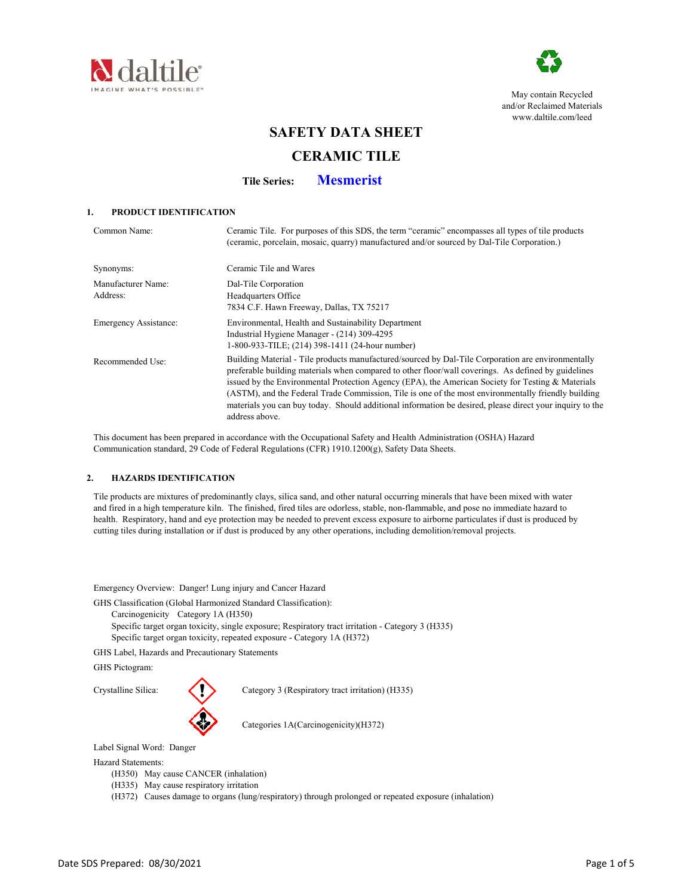



May contain Recycled and/or Reclaimed Materials www.daltile.com/leed

# **SAFETY DATA SHEET**

# **CERAMIC TILE**

**Tile Series: Mesmerist**

# **1. PRODUCT IDENTIFICATION**

| Common Name:                   | Ceramic Tile. For purposes of this SDS, the term "ceramic" encompasses all types of tile products<br>(ceramic, porcelain, mosaic, quarry) manufactured and/or sourced by Dal-Tile Corporation.)                                                                                                                                                                                                                                                                                                                                                     |
|--------------------------------|-----------------------------------------------------------------------------------------------------------------------------------------------------------------------------------------------------------------------------------------------------------------------------------------------------------------------------------------------------------------------------------------------------------------------------------------------------------------------------------------------------------------------------------------------------|
| Synonyms:                      | Ceramic Tile and Wares                                                                                                                                                                                                                                                                                                                                                                                                                                                                                                                              |
| Manufacturer Name:<br>Address: | Dal-Tile Corporation<br>Headquarters Office<br>7834 C.F. Hawn Freeway, Dallas, TX 75217                                                                                                                                                                                                                                                                                                                                                                                                                                                             |
| Emergency Assistance:          | Environmental, Health and Sustainability Department<br>Industrial Hygiene Manager - (214) 309-4295<br>1-800-933-TILE; (214) 398-1411 (24-hour number)                                                                                                                                                                                                                                                                                                                                                                                               |
| Recommended Use:               | Building Material - Tile products manufactured/sourced by Dal-Tile Corporation are environmentally<br>preferable building materials when compared to other floor/wall coverings. As defined by guidelines<br>issued by the Environmental Protection Agency (EPA), the American Society for Testing & Materials<br>(ASTM), and the Federal Trade Commission, Tile is one of the most environmentally friendly building<br>materials you can buy today. Should additional information be desired, please direct your inquiry to the<br>address above. |

 This document has been prepared in accordance with the Occupational Safety and Health Administration (OSHA) Hazard Communication standard, 29 Code of Federal Regulations (CFR) 1910.1200(g), Safety Data Sheets.

### **2. HAZARDS IDENTIFICATION**

 Tile products are mixtures of predominantly clays, silica sand, and other natural occurring minerals that have been mixed with water and fired in a high temperature kiln. The finished, fired tiles are odorless, stable, non-flammable, and pose no immediate hazard to health. Respiratory, hand and eye protection may be needed to prevent excess exposure to airborne particulates if dust is produced by cutting tiles during installation or if dust is produced by any other operations, including demolition/removal projects.

Emergency Overview: Danger! Lung injury and Cancer Hazard

GHS Classification (Global Harmonized Standard Classification):

- Carcinogenicity Category 1A (H350)
- Specific target organ toxicity, single exposure; Respiratory tract irritation Category 3 (H335) Specific target organ toxicity, repeated exposure - Category 1A (H372)

GHS Label, Hazards and Precautionary Statements

GHS Pictogram:



Crystalline Silica: Category 3 (Respiratory tract irritation) (H335)

Categories 1A(Carcinogenicity)(H372)

Label Signal Word: Danger

Hazard Statements:

- (H350) May cause CANCER (inhalation)
- (H335) May cause respiratory irritation
- (H372) Causes damage to organs (lung/respiratory) through prolonged or repeated exposure (inhalation)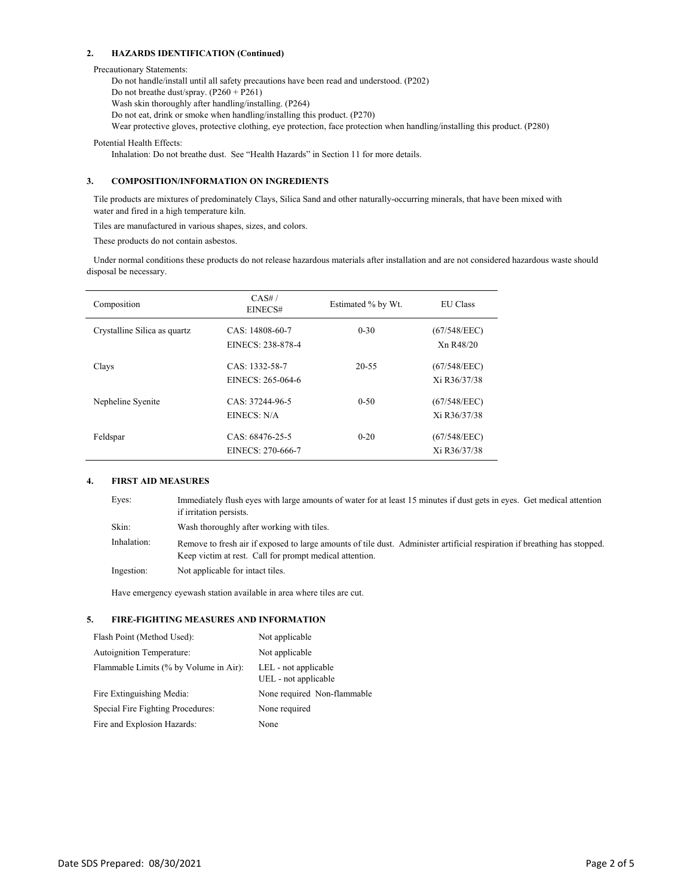#### **2. HAZARDS IDENTIFICATION (Continued)**

#### Precautionary Statements:

Do not handle/install until all safety precautions have been read and understood. (P202) Do not breathe dust/spray. (P260 + P261) Wash skin thoroughly after handling/installing. (P264) Do not eat, drink or smoke when handling/installing this product. (P270) Wear protective gloves, protective clothing, eye protection, face protection when handling/installing this product. (P280)

Potential Health Effects:

Inhalation: Do not breathe dust. See "Health Hazards" in Section 11 for more details.

# **3. COMPOSITION/INFORMATION ON INGREDIENTS**

 Tile products are mixtures of predominately Clays, Silica Sand and other naturally-occurring minerals, that have been mixed with water and fired in a high temperature kiln.

Tiles are manufactured in various shapes, sizes, and colors.

These products do not contain asbestos.

 Under normal conditions these products do not release hazardous materials after installation and are not considered hazardous waste should disposal be necessary.

| Composition                  | CAS#/<br>EINECS#                     | Estimated % by Wt. | <b>EU</b> Class                                    |
|------------------------------|--------------------------------------|--------------------|----------------------------------------------------|
| Crystalline Silica as quartz | CAS: 14808-60-7<br>EINECS: 238-878-4 | $0 - 30$           | (67/548/EEC)<br>X <sub>n</sub> R <sub>48</sub> /20 |
| Clays                        | CAS: 1332-58-7<br>EINECS: 265-064-6  | $20 - 55$          | (67/548/EEC)<br>Xi R36/37/38                       |
| Nepheline Syenite            | CAS: 37244-96-5<br>EINECS: N/A       | $0 - 50$           | (67/548/EEC)<br>Xi R36/37/38                       |
| Feldspar                     | CAS: 68476-25-5<br>EINECS: 270-666-7 | $0 - 20$           | (67/548/EEC)<br>Xi R36/37/38                       |

#### **4. FIRST AID MEASURES**

| Eyes:       | Immediately flush eyes with large amounts of water for at least 15 minutes if dust gets in eyes. Get medical attention<br>if irritation persists.                                    |
|-------------|--------------------------------------------------------------------------------------------------------------------------------------------------------------------------------------|
| Skin:       | Wash thoroughly after working with tiles.                                                                                                                                            |
| Inhalation: | Remove to fresh air if exposed to large amounts of tile dust. Administer artificial respiration if breathing has stopped.<br>Keep victim at rest. Call for prompt medical attention. |
| Ingestion:  | Not applicable for intact tiles.                                                                                                                                                     |

Have emergency eyewash station available in area where tiles are cut.

# **5. FIRE-FIGHTING MEASURES AND INFORMATION**

| Flash Point (Method Used):             | Not applicable                               |
|----------------------------------------|----------------------------------------------|
| Autoignition Temperature:              | Not applicable                               |
| Flammable Limits (% by Volume in Air): | LEL - not applicable<br>UEL - not applicable |
| Fire Extinguishing Media:              | None required Non-flammable                  |
| Special Fire Fighting Procedures:      | None required                                |
| Fire and Explosion Hazards:            | None                                         |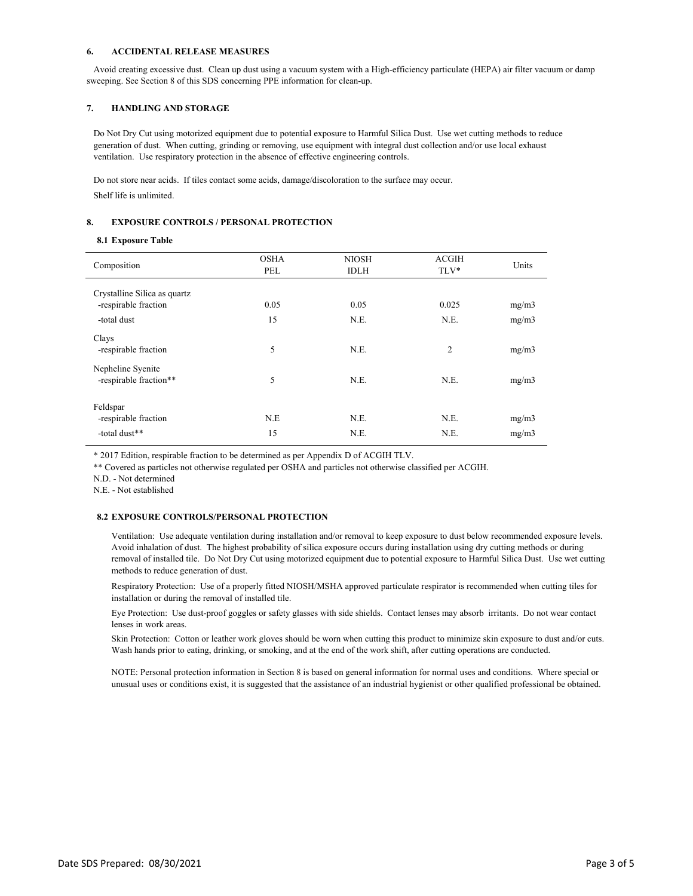#### **6. ACCIDENTAL RELEASE MEASURES**

 Avoid creating excessive dust. Clean up dust using a vacuum system with a High-efficiency particulate (HEPA) air filter vacuum or damp sweeping. See Section 8 of this SDS concerning PPE information for clean-up.

#### **7. HANDLING AND STORAGE**

 Do Not Dry Cut using motorized equipment due to potential exposure to Harmful Silica Dust. Use wet cutting methods to reduce generation of dust. When cutting, grinding or removing, use equipment with integral dust collection and/or use local exhaust ventilation. Use respiratory protection in the absence of effective engineering controls.

 Do not store near acids. If tiles contact some acids, damage/discoloration to the surface may occur. Shelf life is unlimited.

#### **8. EXPOSURE CONTROLS / PERSONAL PROTECTION**

#### **8.1 Exposure Table**

| Composition                                 | <b>OSHA</b><br>PEL | <b>NIOSH</b><br><b>IDLH</b> | <b>ACGIH</b><br>TLV* | Units |
|---------------------------------------------|--------------------|-----------------------------|----------------------|-------|
| Crystalline Silica as quartz                |                    |                             |                      |       |
| -respirable fraction                        | 0.05               | 0.05                        | 0.025                | mg/m3 |
| -total dust                                 | 15                 | N.E.                        | N.E.                 | mg/m3 |
| Clays<br>-respirable fraction               | 5                  | N.E.                        | $\overline{c}$       | mg/m3 |
| Nepheline Syenite<br>-respirable fraction** | 5                  | N.E.                        | N.E.                 | mg/m3 |
| Feldspar<br>-respirable fraction            | N.E                | N.E.                        | N.E.                 | mg/m3 |
| -total dust**                               | 15                 | N.E.                        | N.E.                 | mg/m3 |

\* 2017 Edition, respirable fraction to be determined as per Appendix D of ACGIH TLV.

\*\* Covered as particles not otherwise regulated per OSHA and particles not otherwise classified per ACGIH.

N.D. - Not determined

N.E. - Not established

#### **8.2 EXPOSURE CONTROLS/PERSONAL PROTECTION**

Ventilation: Use adequate ventilation during installation and/or removal to keep exposure to dust below recommended exposure levels. Avoid inhalation of dust. The highest probability of silica exposure occurs during installation using dry cutting methods or during removal of installed tile. Do Not Dry Cut using motorized equipment due to potential exposure to Harmful Silica Dust. Use wet cutting methods to reduce generation of dust.

Respiratory Protection: Use of a properly fitted NIOSH/MSHA approved particulate respirator is recommended when cutting tiles for installation or during the removal of installed tile.

Eye Protection: Use dust-proof goggles or safety glasses with side shields. Contact lenses may absorb irritants. Do not wear contact lenses in work areas.

Skin Protection: Cotton or leather work gloves should be worn when cutting this product to minimize skin exposure to dust and/or cuts. Wash hands prior to eating, drinking, or smoking, and at the end of the work shift, after cutting operations are conducted.

NOTE: Personal protection information in Section 8 is based on general information for normal uses and conditions. Where special or unusual uses or conditions exist, it is suggested that the assistance of an industrial hygienist or other qualified professional be obtained.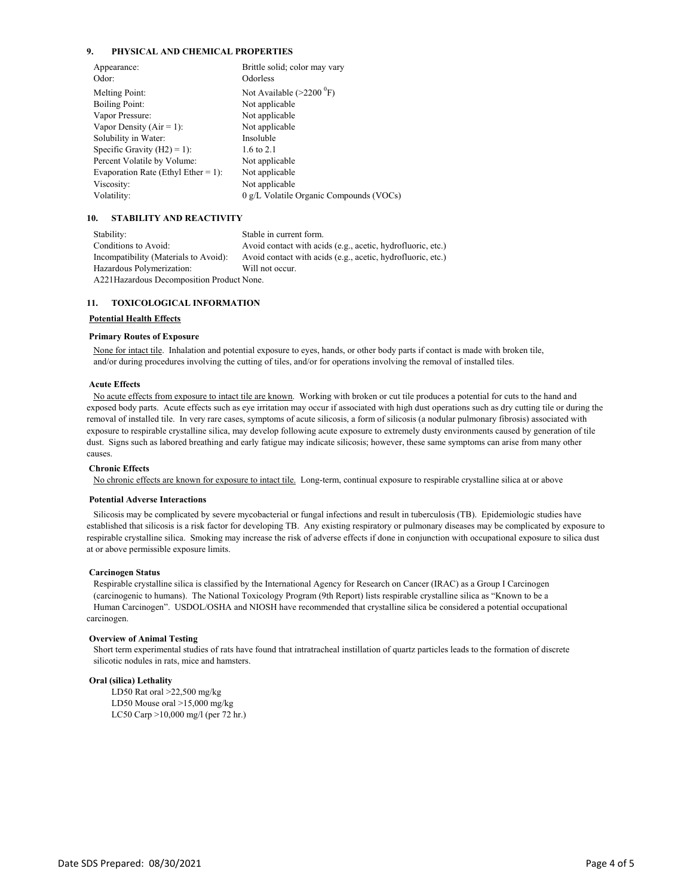#### **9. PHYSICAL AND CHEMICAL PROPERTIES**

| Brittle solid; color may vary              |
|--------------------------------------------|
| Odorless                                   |
| Not Available $(>2200 \text{ }^0\text{F})$ |
| Not applicable                             |
| Not applicable                             |
| Not applicable                             |
| Insoluble                                  |
| 1.6 to 2.1                                 |
| Not applicable                             |
| Not applicable                             |
| Not applicable                             |
| 0 g/L Volatile Organic Compounds (VOCs)    |
|                                            |

#### **10. STABILITY AND REACTIVITY**

Stability: Stable in current form. Conditions to Avoid: Avoid contact with acids (e.g., acetic, hydrofluoric, etc.) Incompatibility (Materials to Avoid): Avoid contact with acids (e.g., acetic, hydrofluoric, etc.) Hazardous Polymerization: Will not occur. A221Hazardous Decomposition Product None.

#### **11. TOXICOLOGICAL INFORMATION**

#### **Potential Health Effects**

#### **Primary Routes of Exposure**

 None for intact tile. Inhalation and potential exposure to eyes, hands, or other body parts if contact is made with broken tile, and/or during procedures involving the cutting of tiles, and/or for operations involving the removal of installed tiles.

#### **Acute Effects**

 No acute effects from exposure to intact tile are known. Working with broken or cut tile produces a potential for cuts to the hand and exposed body parts. Acute effects such as eye irritation may occur if associated with high dust operations such as dry cutting tile or during the removal of installed tile. In very rare cases, symptoms of acute silicosis, a form of silicosis (a nodular pulmonary fibrosis) associated with exposure to respirable crystalline silica, may develop following acute exposure to extremely dusty environments caused by generation of tile dust. Signs such as labored breathing and early fatigue may indicate silicosis; however, these same symptoms can arise from many other causes.

#### **Chronic Effects**

No chronic effects are known for exposure to intact tile. Long-term, continual exposure to respirable crystalline silica at or above

#### **Potential Adverse Interactions**

 Silicosis may be complicated by severe mycobacterial or fungal infections and result in tuberculosis (TB). Epidemiologic studies have established that silicosis is a risk factor for developing TB. Any existing respiratory or pulmonary diseases may be complicated by exposure to respirable crystalline silica. Smoking may increase the risk of adverse effects if done in conjunction with occupational exposure to silica dust at or above permissible exposure limits.

#### **Carcinogen Status**

 Respirable crystalline silica is classified by the International Agency for Research on Cancer (IRAC) as a Group I Carcinogen (carcinogenic to humans). The National Toxicology Program (9th Report) lists respirable crystalline silica as "Known to be a Human Carcinogen". USDOL/OSHA and NIOSH have recommended that crystalline silica be considered a potential occupational carcinogen.

#### **Overview of Animal Testing**

 Short term experimental studies of rats have found that intratracheal instillation of quartz particles leads to the formation of discrete silicotic nodules in rats, mice and hamsters.

#### **Oral (silica) Lethality**

LD50 Rat oral >22,500 mg/kg LD50 Mouse oral >15,000 mg/kg LC50 Carp >10,000 mg/l (per 72 hr.)